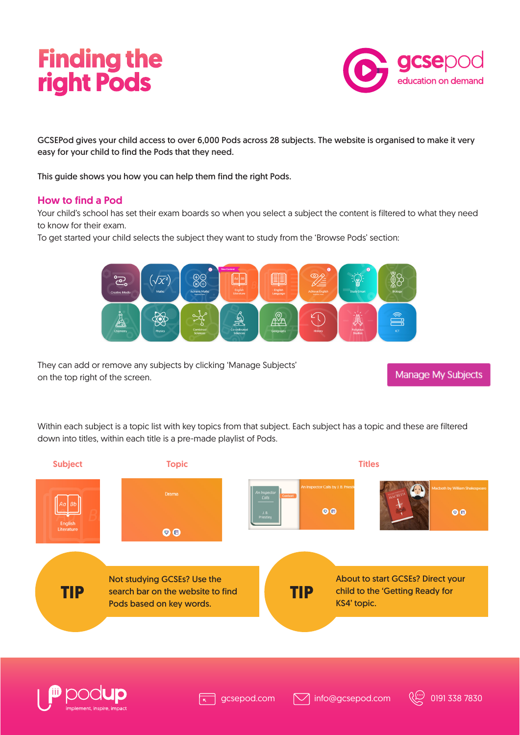## **Finding the right Pods**



GCSEPod gives your child access to over 6,000 Pods across 28 subjects. The website is organised to make it very easy for your child to find the Pods that they need.

This guide shows you how you can help them find the right Pods.

#### How to find a Pod

Your child's school has set their exam boards so when you select a subject the content is filtered to what they need to know for their exam.

To get started your child selects the subject they want to study from the 'Browse Pods' section:



They can add or remove any subjects by clicking 'Manage Subjects' on the top right of the screen.

**Manage My Subjects** 

Within each subject is a topic list with key topics from that subject. Each subject has a topic and these are filtered down into titles, within each title is a pre-made playlist of Pods.





gcsepod.com

 $\sqrt{\phantom{a}}$  info@gcsepod.com  $\sqrt{\phantom{a}}\phantom{a}$  0191 338 7830